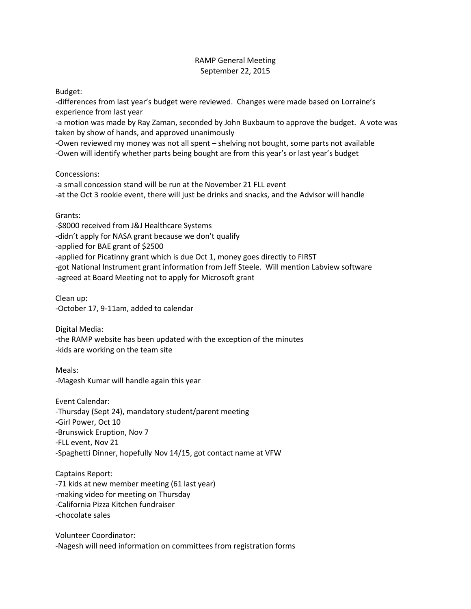## RAMP General Meeting September 22, 2015

Budget:

-differences from last year's budget were reviewed. Changes were made based on Lorraine's experience from last year

-a motion was made by Ray Zaman, seconded by John Buxbaum to approve the budget. A vote was taken by show of hands, and approved unanimously

-Owen reviewed my money was not all spent – shelving not bought, some parts not available -Owen will identify whether parts being bought are from this year's or last year's budget

Concessions:

-a small concession stand will be run at the November 21 FLL event -at the Oct 3 rookie event, there will just be drinks and snacks, and the Advisor will handle

Grants:

-\$8000 received from J&J Healthcare Systems -didn't apply for NASA grant because we don't qualify -applied for BAE grant of \$2500 -applied for Picatinny grant which is due Oct 1, money goes directly to FIRST -got National Instrument grant information from Jeff Steele. Will mention Labview software -agreed at Board Meeting not to apply for Microsoft grant

Clean up: -October 17, 9-11am, added to calendar

Digital Media: -the RAMP website has been updated with the exception of the minutes -kids are working on the team site

Meals: -Magesh Kumar will handle again this year

Event Calendar: -Thursday (Sept 24), mandatory student/parent meeting -Girl Power, Oct 10 -Brunswick Eruption, Nov 7 -FLL event, Nov 21 -Spaghetti Dinner, hopefully Nov 14/15, got contact name at VFW

Captains Report: -71 kids at new member meeting (61 last year) -making video for meeting on Thursday -California Pizza Kitchen fundraiser -chocolate sales

Volunteer Coordinator: -Nagesh will need information on committees from registration forms